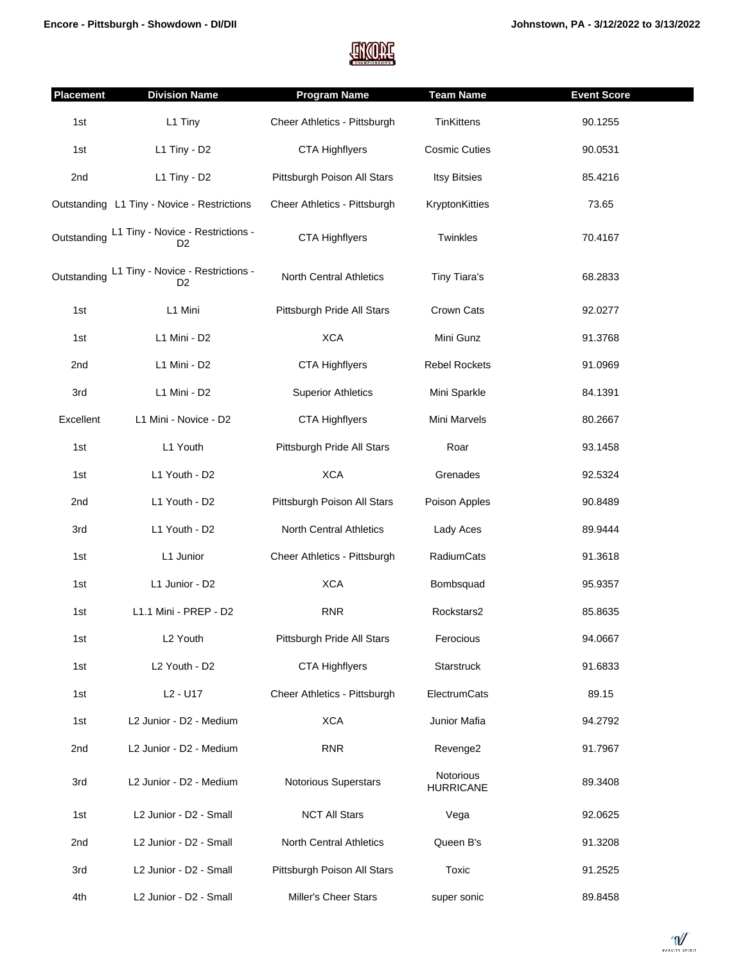

| <b>Placement</b> | <b>Division Name</b>                                | <b>Program Name</b>          | <b>Team Name</b>              | <b>Event Score</b> |
|------------------|-----------------------------------------------------|------------------------------|-------------------------------|--------------------|
| 1st              | L1 Tiny                                             | Cheer Athletics - Pittsburgh | <b>TinKittens</b>             | 90.1255            |
| 1st              | L1 Tiny - D2                                        | <b>CTA Highflyers</b>        | <b>Cosmic Cuties</b>          | 90.0531            |
| 2nd              | L1 Tiny - D2                                        | Pittsburgh Poison All Stars  | <b>Itsy Bitsies</b>           | 85.4216            |
|                  | Outstanding L1 Tiny - Novice - Restrictions         | Cheer Athletics - Pittsburgh | KryptonKitties                | 73.65              |
| Outstanding      | L1 Tiny - Novice - Restrictions -<br>D <sub>2</sub> | <b>CTA Highflyers</b>        | Twinkles                      | 70.4167            |
| Outstanding      | L1 Tiny - Novice - Restrictions -<br>D <sub>2</sub> | North Central Athletics      | Tiny Tiara's                  | 68.2833            |
| 1st              | L1 Mini                                             | Pittsburgh Pride All Stars   | Crown Cats                    | 92.0277            |
| 1st              | L1 Mini - D2                                        | <b>XCA</b>                   | Mini Gunz                     | 91.3768            |
| 2nd              | L1 Mini - D2                                        | <b>CTA Highflyers</b>        | <b>Rebel Rockets</b>          | 91.0969            |
| 3rd              | L1 Mini - D2                                        | <b>Superior Athletics</b>    | Mini Sparkle                  | 84.1391            |
| Excellent        | L1 Mini - Novice - D2                               | <b>CTA Highflyers</b>        | Mini Marvels                  | 80.2667            |
| 1st              | L1 Youth                                            | Pittsburgh Pride All Stars   | Roar                          | 93.1458            |
| 1st              | L1 Youth - D2                                       | <b>XCA</b>                   | Grenades                      | 92.5324            |
| 2nd              | L1 Youth - D2                                       | Pittsburgh Poison All Stars  | Poison Apples                 | 90.8489            |
| 3rd              | L1 Youth - D2                                       | North Central Athletics      | Lady Aces                     | 89.9444            |
| 1st              | L1 Junior                                           | Cheer Athletics - Pittsburgh | RadiumCats                    | 91.3618            |
| 1st              | L1 Junior - D2                                      | <b>XCA</b>                   | Bombsquad                     | 95.9357            |
| 1st              | L1.1 Mini - PREP - D2                               | <b>RNR</b>                   | Rockstars2                    | 85.8635            |
| 1st              | L2 Youth                                            | Pittsburgh Pride All Stars   | Ferocious                     | 94.0667            |
| 1st              | L2 Youth - D2                                       | <b>CTA Highflyers</b>        | Starstruck                    | 91.6833            |
| 1st              | L <sub>2</sub> - U <sub>17</sub>                    | Cheer Athletics - Pittsburgh | ElectrumCats                  | 89.15              |
| 1st              | L2 Junior - D2 - Medium                             | <b>XCA</b>                   | Junior Mafia                  | 94.2792            |
| 2nd              | L2 Junior - D2 - Medium                             | <b>RNR</b>                   | Revenge2                      | 91.7967            |
| 3rd              | L2 Junior - D2 - Medium                             | <b>Notorious Superstars</b>  | Notorious<br><b>HURRICANE</b> | 89.3408            |
| 1st              | L2 Junior - D2 - Small                              | <b>NCT All Stars</b>         | Vega                          | 92.0625            |
| 2nd              | L2 Junior - D2 - Small                              | North Central Athletics      | Queen B's                     | 91.3208            |
| 3rd              | L2 Junior - D2 - Small                              | Pittsburgh Poison All Stars  | Toxic                         | 91.2525            |
| 4th              | L2 Junior - D2 - Small                              | Miller's Cheer Stars         | super sonic                   | 89.8458            |